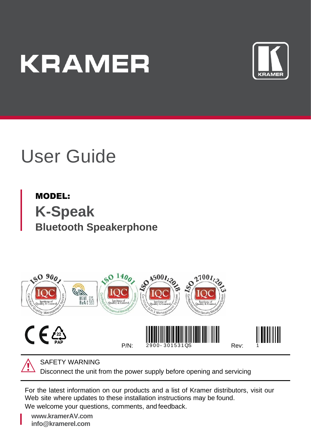# **KRAMER**



# User Guide

MODEL: **K-Speak Bluetooth Speakerphone**





SAFETY WARNING

Disconnect the unit from the power supply before opening and servicing

For the latest information on our products and a list of Kramer distributors, visit our Web site where updates to these installation instructions may be found.

We welcome your questions, comments, and feedback.

**[www.kramerAV.com](http://www.kramerav.com/) info@kramerel.com**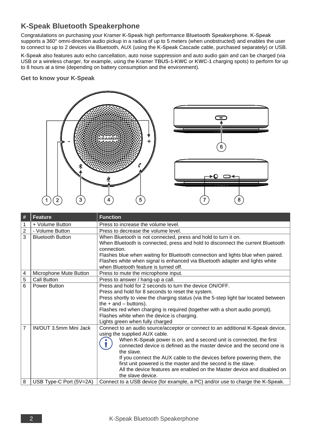# **K-Speak Bluetooth Speakerphone**

Congratulations on purchasing your Kramer **K-Speak** high performance **Bluetooth Speakerphone**. **K-Speak** supports a 360° omni-direction audio pickup in a radius of up to 5 meters (when unobstructed) and enables the user to connect to up to 2 devices via Bluetooth, AUX (using the **K-Speak** Cascade cable, purchased separately) or USB.

**K-Speak** also features auto echo cancellation, auto noise suppression and auto audio gain and can be charged (via USB or a wireless charger, for example, using the Kramer **TBUS-1-KWC** or **KWC-1** charging spots) to perform for up to 8 hours at a time (depending on battery consumption and the environment).

#### **Get to know your K-Speak**



| #              | <b>Feature</b>          | <b>Function</b>                                                                                                  |  |  |
|----------------|-------------------------|------------------------------------------------------------------------------------------------------------------|--|--|
| 1              | + Volume Button         | Press to increase the volume level.                                                                              |  |  |
| $\overline{2}$ | - Volume Button         | Press to decrease the volume level.                                                                              |  |  |
| $\overline{3}$ | <b>Bluetooth Button</b> | When Bluetooth is not connected, press and hold to turn it on.                                                   |  |  |
|                |                         | When Bluetooth is connected, press and hold to disconnect the current Bluetooth                                  |  |  |
|                |                         | connection.                                                                                                      |  |  |
|                |                         | Flashes blue when waiting for Bluetooth connection and lights blue when paired.                                  |  |  |
|                |                         | Flashes white when signal is enhanced via Bluetooth adapter and lights white                                     |  |  |
|                |                         | when Bluetooth feature is turned off.                                                                            |  |  |
| 4              | Microphone Mute Button  | Press to mute the microphone input.                                                                              |  |  |
| 5              | Call Button             | Press to answer / hang-up a call.                                                                                |  |  |
| 6              | Power Button            | Press and hold for 2 seconds to turn the device ON/OFF.                                                          |  |  |
|                |                         | Press and hold for 8 seconds to reset the system.                                                                |  |  |
|                |                         | Press shortly to view the charging status (via the 5-step light bar located between<br>the $+$ and $-$ buttons). |  |  |
|                |                         |                                                                                                                  |  |  |
|                |                         | Flashes red when charging is required (together with a short audio prompt).                                      |  |  |
|                |                         | Flashes white when the device is charging.                                                                       |  |  |
|                |                         | Lights green when fully charged                                                                                  |  |  |
| $\overline{7}$ | IN/OUT 3.5mm Mini Jack  | Connect to an audio source/acceptor or connect to an additional K-Speak device,<br>using the supplied AUX cable. |  |  |
|                |                         | When K-Speak power is on, and a second unit is connected, the first                                              |  |  |
|                |                         | connected device is defined as the master device and the second one is                                           |  |  |
|                |                         | the slave.                                                                                                       |  |  |
|                |                         | If you connect the AUX cable to the devices before powering them, the                                            |  |  |
|                |                         | first unit powered is the master and the second is the slave.                                                    |  |  |
|                |                         | All the device features are enabled on the Master device and disabled on                                         |  |  |
|                |                         | the slave device.                                                                                                |  |  |
| 8              | USB Type-C Port (5V=2A) | Connect to a USB device (for example, a PC) and/or use to charge the K-Speak.                                    |  |  |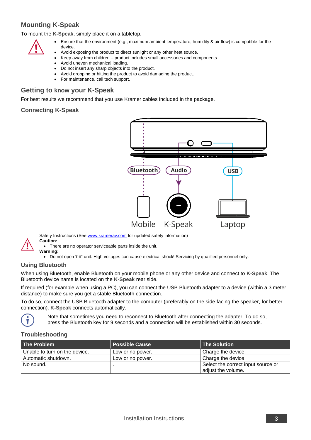### **Mounting K-Speak**

To mount the **K-Speak**, simply place it on a tabletop.



- Ensure that the environment (e.g., maximum ambient temperature, humidity & air flow) is compatible for the device.
- Avoid exposing the product to direct sunlight or any other heat source.
- Keep away from children product includes small accessories and components.
- Avoid uneven mechanical loading.
- Do not insert any sharp objects into the product.
- Avoid dropping or hitting the product to avoid damaging the product.
- For maintenance, call tech support.

#### **Getting to know your K-Speak**

For best results we recommend that you use Kramer cables included in the package.

#### **Connecting K-Speak**



Safety Instructions (Se[e www.kramerav.com](http://www.kramerav.com/) for updated safety information) **Caution:**

• There are no operator serviceable parts inside the unit.



**Warning:** • Do not open THE unit. High voltages can cause electrical shock! Servicing by qualified personnel only.

#### **Using Bluetooth**

When using Bluetooth, enable Bluetooth on your mobile phone or any other device and connect to **K-Speak**. The Bluetooth device name is located on the **K-Speak** rear side.

If required (for example when using a PC), you can connect the USB Bluetooth adapter to a device (within a 3 meter distance) to make sure you get a stable Bluetooth connection.

To do so, connect the USB Bluetooth adapter to the computer (preferably on the side facing the speaker, for better connection). **K-Speak** connects automatically.



Note that sometimes you need to reconnect to Bluetooth after connecting the adapter. To do so, press the Bluetooth key for 9 seconds and a connection will be established within 30 seconds.

#### **Troubleshooting**

| The Problem                   | <b>Possible Cause</b> | The Solution                       |
|-------------------------------|-----------------------|------------------------------------|
| Unable to turn on the device. | 'Low or no power.     | Charge the device.                 |
| Automatic shutdown.           | Low or no power.      | Charge the device.                 |
| No sound.                     |                       | Select the correct input source or |
|                               |                       | adiust the volume.                 |